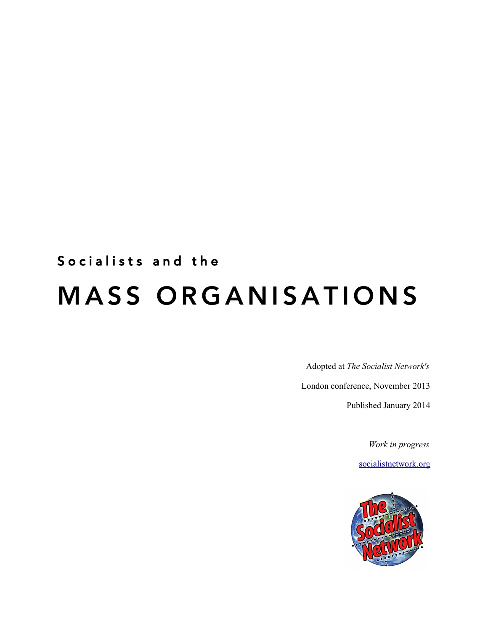# Socialists and the **MASS ORGANISATIONS**

Adopted at *The Socialist Network's*

London conference, November 2013

Published January 2014

*Work in progress*

[socialistnetwork.org](http://www.socialistnetwork.org/)

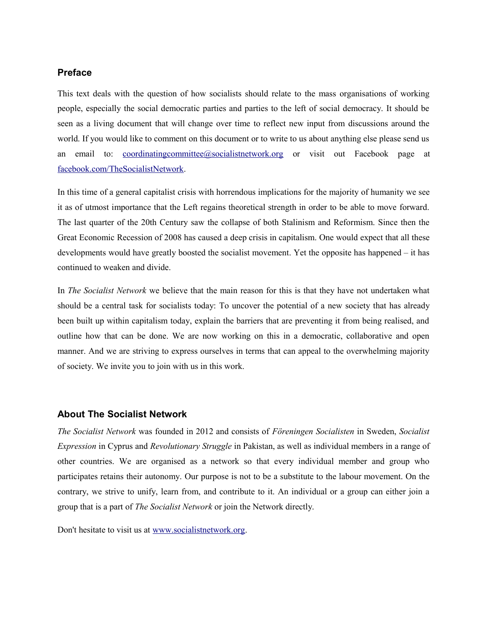# **Preface**

This text deals with the question of how socialists should relate to the mass organisations of working people, especially the social democratic parties and parties to the left of social democracy. It should be seen as a living document that will change over time to reflect new input from discussions around the world. If you would like to comment on this document or to write to us about anything else please send us an email to: coordinating committee @socialistnetwork.org or visit out Facebook page at [facebook.com/TheSocialistNetwork.](http://www.facebook.com/TheSocialistNetwork)

In this time of a general capitalist crisis with horrendous implications for the majority of humanity we see it as of utmost importance that the Left regains theoretical strength in order to be able to move forward. The last quarter of the 20th Century saw the collapse of both Stalinism and Reformism. Since then the Great Economic Recession of 2008 has caused a deep crisis in capitalism. One would expect that all these developments would have greatly boosted the socialist movement. Yet the opposite has happened – it has continued to weaken and divide.

In *The Socialist Network* we believe that the main reason for this is that they have not undertaken what should be a central task for socialists today: To uncover the potential of a new society that has already been built up within capitalism today, explain the barriers that are preventing it from being realised, and outline how that can be done. We are now working on this in a democratic, collaborative and open manner. And we are striving to express ourselves in terms that can appeal to the overwhelming majority of society. We invite you to join with us in this work.

## **About The Socialist Network**

*The Socialist Network* was founded in 2012 and consists of *Föreningen Socialisten* in Sweden, *Socialist Expression* in Cyprus and *Revolutionary Struggle* in Pakistan, as well as individual members in a range of other countries. We are organised as a network so that every individual member and group who participates retains their autonomy. Our purpose is not to be a substitute to the labour movement. On the contrary, we strive to unify, learn from, and contribute to it. An individual or a group can either join a group that is a part of *The Socialist Network* or join the Network directly.

Don't hesitate to visit us at [www.socialistnetwork.org.](http://www.socialistnetwork.org/)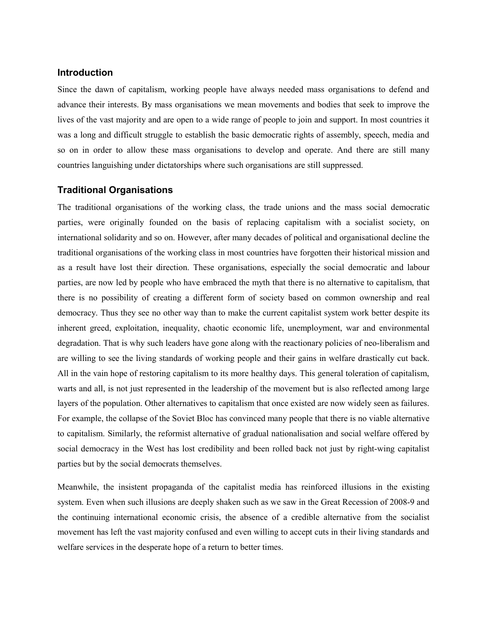## **Introduction**

Since the dawn of capitalism, working people have always needed mass organisations to defend and advance their interests. By mass organisations we mean movements and bodies that seek to improve the lives of the vast majority and are open to a wide range of people to join and support. In most countries it was a long and difficult struggle to establish the basic democratic rights of assembly, speech, media and so on in order to allow these mass organisations to develop and operate. And there are still many countries languishing under dictatorships where such organisations are still suppressed.

## **Traditional Organisations**

The traditional organisations of the working class, the trade unions and the mass social democratic parties, were originally founded on the basis of replacing capitalism with a socialist society, on international solidarity and so on. However, after many decades of political and organisational decline the traditional organisations of the working class in most countries have forgotten their historical mission and as a result have lost their direction. These organisations, especially the social democratic and labour parties, are now led by people who have embraced the myth that there is no alternative to capitalism, that there is no possibility of creating a different form of society based on common ownership and real democracy. Thus they see no other way than to make the current capitalist system work better despite its inherent greed, exploitation, inequality, chaotic economic life, unemployment, war and environmental degradation. That is why such leaders have gone along with the reactionary policies of neo-liberalism and are willing to see the living standards of working people and their gains in welfare drastically cut back. All in the vain hope of restoring capitalism to its more healthy days. This general toleration of capitalism, warts and all, is not just represented in the leadership of the movement but is also reflected among large layers of the population. Other alternatives to capitalism that once existed are now widely seen as failures. For example, the collapse of the Soviet Bloc has convinced many people that there is no viable alternative to capitalism. Similarly, the reformist alternative of gradual nationalisation and social welfare offered by social democracy in the West has lost credibility and been rolled back not just by right-wing capitalist parties but by the social democrats themselves.

Meanwhile, the insistent propaganda of the capitalist media has reinforced illusions in the existing system. Even when such illusions are deeply shaken such as we saw in the Great Recession of 2008-9 and the continuing international economic crisis, the absence of a credible alternative from the socialist movement has left the vast majority confused and even willing to accept cuts in their living standards and welfare services in the desperate hope of a return to better times.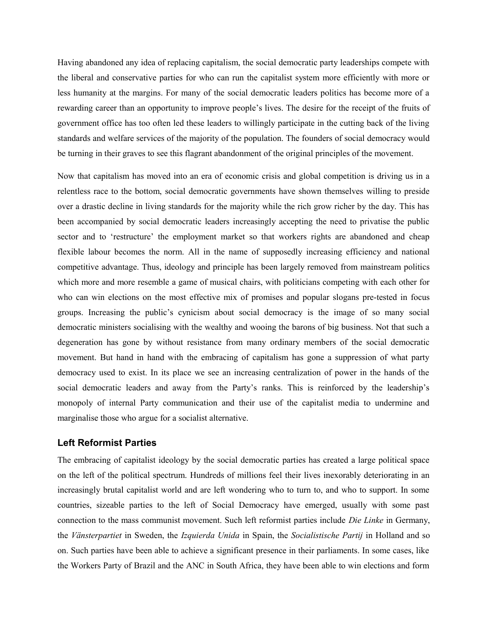Having abandoned any idea of replacing capitalism, the social democratic party leaderships compete with the liberal and conservative parties for who can run the capitalist system more efficiently with more or less humanity at the margins. For many of the social democratic leaders politics has become more of a rewarding career than an opportunity to improve people's lives. The desire for the receipt of the fruits of government office has too often led these leaders to willingly participate in the cutting back of the living standards and welfare services of the majority of the population. The founders of social democracy would be turning in their graves to see this flagrant abandonment of the original principles of the movement.

Now that capitalism has moved into an era of economic crisis and global competition is driving us in a relentless race to the bottom, social democratic governments have shown themselves willing to preside over a drastic decline in living standards for the majority while the rich grow richer by the day. This has been accompanied by social democratic leaders increasingly accepting the need to privatise the public sector and to 'restructure' the employment market so that workers rights are abandoned and cheap flexible labour becomes the norm. All in the name of supposedly increasing efficiency and national competitive advantage. Thus, ideology and principle has been largely removed from mainstream politics which more and more resemble a game of musical chairs, with politicians competing with each other for who can win elections on the most effective mix of promises and popular slogans pre-tested in focus groups. Increasing the public's cynicism about social democracy is the image of so many social democratic ministers socialising with the wealthy and wooing the barons of big business. Not that such a degeneration has gone by without resistance from many ordinary members of the social democratic movement. But hand in hand with the embracing of capitalism has gone a suppression of what party democracy used to exist. In its place we see an increasing centralization of power in the hands of the social democratic leaders and away from the Party's ranks. This is reinforced by the leadership's monopoly of internal Party communication and their use of the capitalist media to undermine and marginalise those who argue for a socialist alternative.

# **Left Reformist Parties**

The embracing of capitalist ideology by the social democratic parties has created a large political space on the left of the political spectrum. Hundreds of millions feel their lives inexorably deteriorating in an increasingly brutal capitalist world and are left wondering who to turn to, and who to support. In some countries, sizeable parties to the left of Social Democracy have emerged, usually with some past connection to the mass communist movement. Such left reformist parties include *Die Linke* in Germany, the *Vänsterpartiet* in Sweden, the *Izquierda Unida* in Spain, the *Socialistische Partij* in Holland and so on. Such parties have been able to achieve a significant presence in their parliaments. In some cases, like the Workers Party of Brazil and the ANC in South Africa, they have been able to win elections and form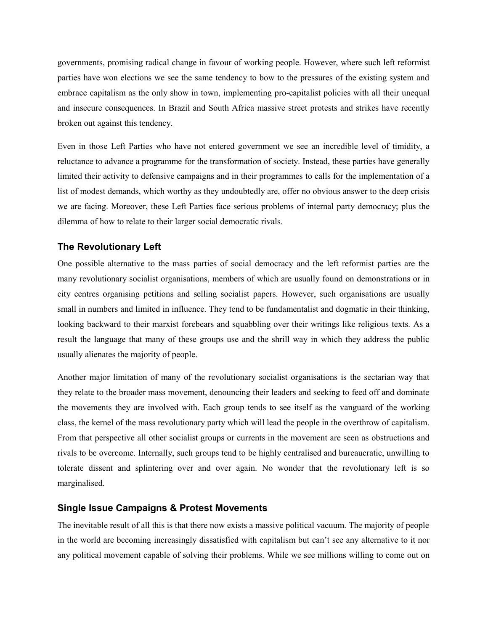governments, promising radical change in favour of working people. However, where such left reformist parties have won elections we see the same tendency to bow to the pressures of the existing system and embrace capitalism as the only show in town, implementing pro-capitalist policies with all their unequal and insecure consequences. In Brazil and South Africa massive street protests and strikes have recently broken out against this tendency.

Even in those Left Parties who have not entered government we see an incredible level of timidity, a reluctance to advance a programme for the transformation of society. Instead, these parties have generally limited their activity to defensive campaigns and in their programmes to calls for the implementation of a list of modest demands, which worthy as they undoubtedly are, offer no obvious answer to the deep crisis we are facing. Moreover, these Left Parties face serious problems of internal party democracy; plus the dilemma of how to relate to their larger social democratic rivals.

# **The Revolutionary Left**

One possible alternative to the mass parties of social democracy and the left reformist parties are the many revolutionary socialist organisations, members of which are usually found on demonstrations or in city centres organising petitions and selling socialist papers. However, such organisations are usually small in numbers and limited in influence. They tend to be fundamentalist and dogmatic in their thinking, looking backward to their marxist forebears and squabbling over their writings like religious texts. As a result the language that many of these groups use and the shrill way in which they address the public usually alienates the majority of people.

Another major limitation of many of the revolutionary socialist organisations is the sectarian way that they relate to the broader mass movement, denouncing their leaders and seeking to feed off and dominate the movements they are involved with. Each group tends to see itself as the vanguard of the working class, the kernel of the mass revolutionary party which will lead the people in the overthrow of capitalism. From that perspective all other socialist groups or currents in the movement are seen as obstructions and rivals to be overcome. Internally, such groups tend to be highly centralised and bureaucratic, unwilling to tolerate dissent and splintering over and over again. No wonder that the revolutionary left is so marginalised.

### **Single Issue Campaigns & Protest Movements**

The inevitable result of all this is that there now exists a massive political vacuum. The majority of people in the world are becoming increasingly dissatisfied with capitalism but can't see any alternative to it nor any political movement capable of solving their problems. While we see millions willing to come out on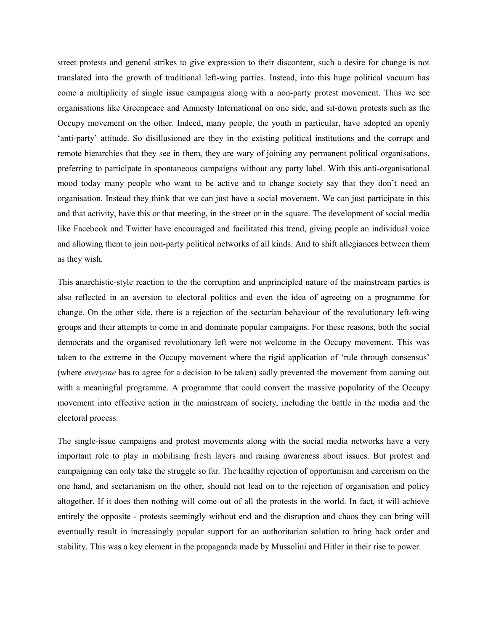street protests and general strikes to give expression to their discontent, such a desire for change is not translated into the growth of traditional left-wing parties. Instead, into this huge political vacuum has come a multiplicity of single issue campaigns along with a non-party protest movement. Thus we see organisations like Greenpeace and Amnesty International on one side, and sit-down protests such as the Occupy movement on the other. Indeed, many people, the youth in particular, have adopted an openly 'anti-party' attitude. So disillusioned are they in the existing political institutions and the corrupt and remote hierarchies that they see in them, they are wary of joining any permanent political organisations, preferring to participate in spontaneous campaigns without any party label. With this anti-organisational mood today many people who want to be active and to change society say that they don't need an organisation. Instead they think that we can just have a social movement. We can just participate in this and that activity, have this or that meeting, in the street or in the square. The development of social media like Facebook and Twitter have encouraged and facilitated this trend, giving people an individual voice and allowing them to join non-party political networks of all kinds. And to shift allegiances between them as they wish.

This anarchistic-style reaction to the the corruption and unprincipled nature of the mainstream parties is also reflected in an aversion to electoral politics and even the idea of agreeing on a programme for change. On the other side, there is a rejection of the sectarian behaviour of the revolutionary left-wing groups and their attempts to come in and dominate popular campaigns. For these reasons, both the social democrats and the organised revolutionary left were not welcome in the Occupy movement. This was taken to the extreme in the Occupy movement where the rigid application of 'rule through consensus' (where *everyone* has to agree for a decision to be taken) sadly prevented the movement from coming out with a meaningful programme. A programme that could convert the massive popularity of the Occupy movement into effective action in the mainstream of society, including the battle in the media and the electoral process.

The single-issue campaigns and protest movements along with the social media networks have a very important role to play in mobilising fresh layers and raising awareness about issues. But protest and campaigning can only take the struggle so far. The healthy rejection of opportunism and careerism on the one hand, and sectarianism on the other, should not lead on to the rejection of organisation and policy altogether. If it does then nothing will come out of all the protests in the world. In fact, it will achieve entirely the opposite - protests seemingly without end and the disruption and chaos they can bring will eventually result in increasingly popular support for an authoritarian solution to bring back order and stability. This was a key element in the propaganda made by Mussolini and Hitler in their rise to power.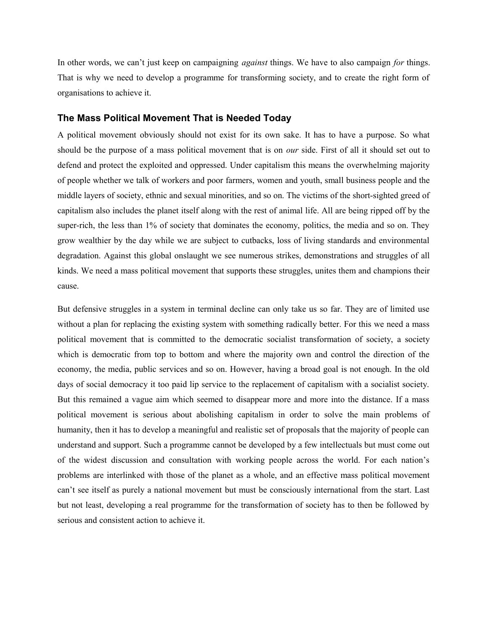In other words, we can't just keep on campaigning *against* things. We have to also campaign *for* things. That is why we need to develop a programme for transforming society, and to create the right form of organisations to achieve it.

### **The Mass Political Movement That is Needed Today**

A political movement obviously should not exist for its own sake. It has to have a purpose. So what should be the purpose of a mass political movement that is on *our* side. First of all it should set out to defend and protect the exploited and oppressed. Under capitalism this means the overwhelming majority of people whether we talk of workers and poor farmers, women and youth, small business people and the middle layers of society, ethnic and sexual minorities, and so on. The victims of the short-sighted greed of capitalism also includes the planet itself along with the rest of animal life. All are being ripped off by the super-rich, the less than 1% of society that dominates the economy, politics, the media and so on. They grow wealthier by the day while we are subject to cutbacks, loss of living standards and environmental degradation. Against this global onslaught we see numerous strikes, demonstrations and struggles of all kinds. We need a mass political movement that supports these struggles, unites them and champions their cause.

But defensive struggles in a system in terminal decline can only take us so far. They are of limited use without a plan for replacing the existing system with something radically better. For this we need a mass political movement that is committed to the democratic socialist transformation of society, a society which is democratic from top to bottom and where the majority own and control the direction of the economy, the media, public services and so on. However, having a broad goal is not enough. In the old days of social democracy it too paid lip service to the replacement of capitalism with a socialist society. But this remained a vague aim which seemed to disappear more and more into the distance. If a mass political movement is serious about abolishing capitalism in order to solve the main problems of humanity, then it has to develop a meaningful and realistic set of proposals that the majority of people can understand and support. Such a programme cannot be developed by a few intellectuals but must come out of the widest discussion and consultation with working people across the world. For each nation's problems are interlinked with those of the planet as a whole, and an effective mass political movement can't see itself as purely a national movement but must be consciously international from the start. Last but not least, developing a real programme for the transformation of society has to then be followed by serious and consistent action to achieve it.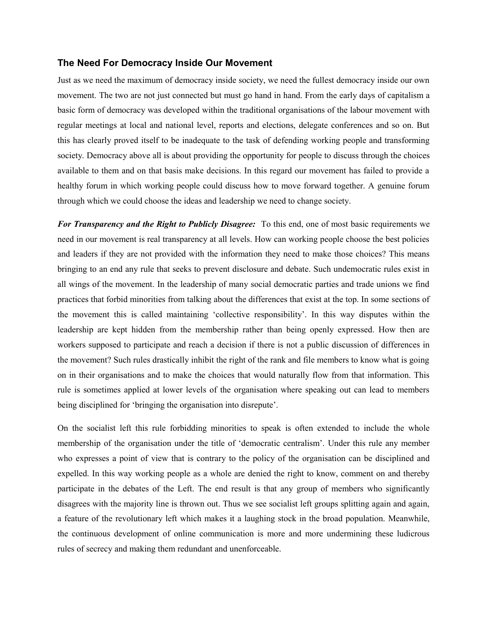### **The Need For Democracy Inside Our Movement**

Just as we need the maximum of democracy inside society, we need the fullest democracy inside our own movement. The two are not just connected but must go hand in hand. From the early days of capitalism a basic form of democracy was developed within the traditional organisations of the labour movement with regular meetings at local and national level, reports and elections, delegate conferences and so on. But this has clearly proved itself to be inadequate to the task of defending working people and transforming society. Democracy above all is about providing the opportunity for people to discuss through the choices available to them and on that basis make decisions. In this regard our movement has failed to provide a healthy forum in which working people could discuss how to move forward together. A genuine forum through which we could choose the ideas and leadership we need to change society.

*For Transparency and the Right to Publicly Disagree:* To this end, one of most basic requirements we need in our movement is real transparency at all levels. How can working people choose the best policies and leaders if they are not provided with the information they need to make those choices? This means bringing to an end any rule that seeks to prevent disclosure and debate. Such undemocratic rules exist in all wings of the movement. In the leadership of many social democratic parties and trade unions we find practices that forbid minorities from talking about the differences that exist at the top. In some sections of the movement this is called maintaining 'collective responsibility'. In this way disputes within the leadership are kept hidden from the membership rather than being openly expressed. How then are workers supposed to participate and reach a decision if there is not a public discussion of differences in the movement? Such rules drastically inhibit the right of the rank and file members to know what is going on in their organisations and to make the choices that would naturally flow from that information. This rule is sometimes applied at lower levels of the organisation where speaking out can lead to members being disciplined for 'bringing the organisation into disrepute'.

On the socialist left this rule forbidding minorities to speak is often extended to include the whole membership of the organisation under the title of 'democratic centralism'. Under this rule any member who expresses a point of view that is contrary to the policy of the organisation can be disciplined and expelled. In this way working people as a whole are denied the right to know, comment on and thereby participate in the debates of the Left. The end result is that any group of members who significantly disagrees with the majority line is thrown out. Thus we see socialist left groups splitting again and again, a feature of the revolutionary left which makes it a laughing stock in the broad population. Meanwhile, the continuous development of online communication is more and more undermining these ludicrous rules of secrecy and making them redundant and unenforceable.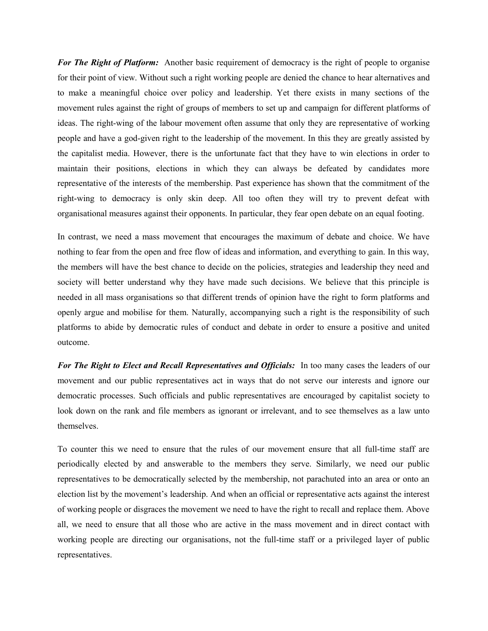*For The Right of Platform:* Another basic requirement of democracy is the right of people to organise for their point of view. Without such a right working people are denied the chance to hear alternatives and to make a meaningful choice over policy and leadership. Yet there exists in many sections of the movement rules against the right of groups of members to set up and campaign for different platforms of ideas. The right-wing of the labour movement often assume that only they are representative of working people and have a god-given right to the leadership of the movement. In this they are greatly assisted by the capitalist media. However, there is the unfortunate fact that they have to win elections in order to maintain their positions, elections in which they can always be defeated by candidates more representative of the interests of the membership. Past experience has shown that the commitment of the right-wing to democracy is only skin deep. All too often they will try to prevent defeat with organisational measures against their opponents. In particular, they fear open debate on an equal footing.

In contrast, we need a mass movement that encourages the maximum of debate and choice. We have nothing to fear from the open and free flow of ideas and information, and everything to gain. In this way, the members will have the best chance to decide on the policies, strategies and leadership they need and society will better understand why they have made such decisions. We believe that this principle is needed in all mass organisations so that different trends of opinion have the right to form platforms and openly argue and mobilise for them. Naturally, accompanying such a right is the responsibility of such platforms to abide by democratic rules of conduct and debate in order to ensure a positive and united outcome.

*For The Right to Elect and Recall Representatives and Officials:* In too many cases the leaders of our movement and our public representatives act in ways that do not serve our interests and ignore our democratic processes. Such officials and public representatives are encouraged by capitalist society to look down on the rank and file members as ignorant or irrelevant, and to see themselves as a law unto themselves.

To counter this we need to ensure that the rules of our movement ensure that all full-time staff are periodically elected by and answerable to the members they serve. Similarly, we need our public representatives to be democratically selected by the membership, not parachuted into an area or onto an election list by the movement's leadership. And when an official or representative acts against the interest of working people or disgraces the movement we need to have the right to recall and replace them. Above all, we need to ensure that all those who are active in the mass movement and in direct contact with working people are directing our organisations, not the full-time staff or a privileged layer of public representatives.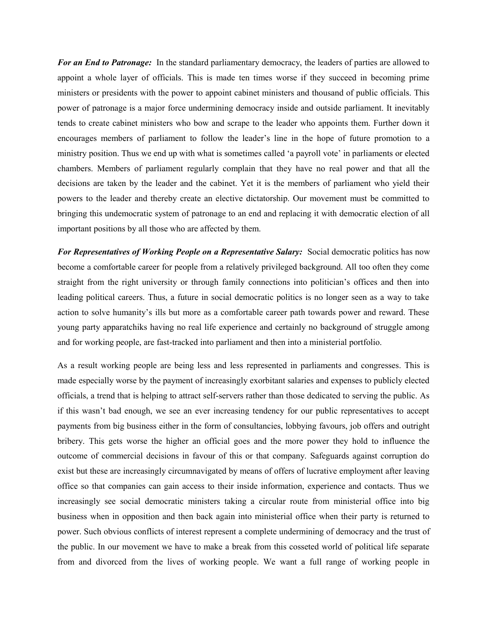*For an End to Patronage:* In the standard parliamentary democracy, the leaders of parties are allowed to appoint a whole layer of officials. This is made ten times worse if they succeed in becoming prime ministers or presidents with the power to appoint cabinet ministers and thousand of public officials. This power of patronage is a major force undermining democracy inside and outside parliament. It inevitably tends to create cabinet ministers who bow and scrape to the leader who appoints them. Further down it encourages members of parliament to follow the leader's line in the hope of future promotion to a ministry position. Thus we end up with what is sometimes called 'a payroll vote' in parliaments or elected chambers. Members of parliament regularly complain that they have no real power and that all the decisions are taken by the leader and the cabinet. Yet it is the members of parliament who yield their powers to the leader and thereby create an elective dictatorship. Our movement must be committed to bringing this undemocratic system of patronage to an end and replacing it with democratic election of all important positions by all those who are affected by them.

*For Representatives of Working People on a Representative Salary:* Social democratic politics has now become a comfortable career for people from a relatively privileged background. All too often they come straight from the right university or through family connections into politician's offices and then into leading political careers. Thus, a future in social democratic politics is no longer seen as a way to take action to solve humanity's ills but more as a comfortable career path towards power and reward. These young party apparatchiks having no real life experience and certainly no background of struggle among and for working people, are fast-tracked into parliament and then into a ministerial portfolio.

As a result working people are being less and less represented in parliaments and congresses. This is made especially worse by the payment of increasingly exorbitant salaries and expenses to publicly elected officials, a trend that is helping to attract self-servers rather than those dedicated to serving the public. As if this wasn't bad enough, we see an ever increasing tendency for our public representatives to accept payments from big business either in the form of consultancies, lobbying favours, job offers and outright bribery. This gets worse the higher an official goes and the more power they hold to influence the outcome of commercial decisions in favour of this or that company. Safeguards against corruption do exist but these are increasingly circumnavigated by means of offers of lucrative employment after leaving office so that companies can gain access to their inside information, experience and contacts. Thus we increasingly see social democratic ministers taking a circular route from ministerial office into big business when in opposition and then back again into ministerial office when their party is returned to power. Such obvious conflicts of interest represent a complete undermining of democracy and the trust of the public. In our movement we have to make a break from this cosseted world of political life separate from and divorced from the lives of working people. We want a full range of working people in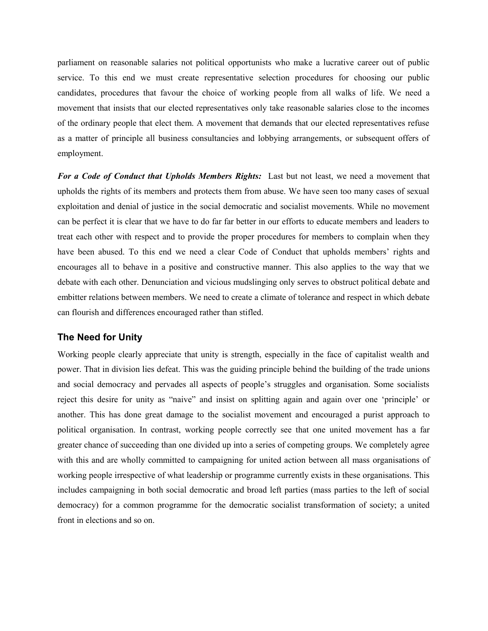parliament on reasonable salaries not political opportunists who make a lucrative career out of public service. To this end we must create representative selection procedures for choosing our public candidates, procedures that favour the choice of working people from all walks of life. We need a movement that insists that our elected representatives only take reasonable salaries close to the incomes of the ordinary people that elect them. A movement that demands that our elected representatives refuse as a matter of principle all business consultancies and lobbying arrangements, or subsequent offers of employment.

*For a Code of Conduct that Upholds Members Rights:* Last but not least, we need a movement that upholds the rights of its members and protects them from abuse. We have seen too many cases of sexual exploitation and denial of justice in the social democratic and socialist movements. While no movement can be perfect it is clear that we have to do far far better in our efforts to educate members and leaders to treat each other with respect and to provide the proper procedures for members to complain when they have been abused. To this end we need a clear Code of Conduct that upholds members' rights and encourages all to behave in a positive and constructive manner. This also applies to the way that we debate with each other. Denunciation and vicious mudslinging only serves to obstruct political debate and embitter relations between members. We need to create a climate of tolerance and respect in which debate can flourish and differences encouraged rather than stifled.

## **The Need for Unity**

Working people clearly appreciate that unity is strength, especially in the face of capitalist wealth and power. That in division lies defeat. This was the guiding principle behind the building of the trade unions and social democracy and pervades all aspects of people's struggles and organisation. Some socialists reject this desire for unity as "naive" and insist on splitting again and again over one 'principle' or another. This has done great damage to the socialist movement and encouraged a purist approach to political organisation. In contrast, working people correctly see that one united movement has a far greater chance of succeeding than one divided up into a series of competing groups. We completely agree with this and are wholly committed to campaigning for united action between all mass organisations of working people irrespective of what leadership or programme currently exists in these organisations. This includes campaigning in both social democratic and broad left parties (mass parties to the left of social democracy) for a common programme for the democratic socialist transformation of society; a united front in elections and so on.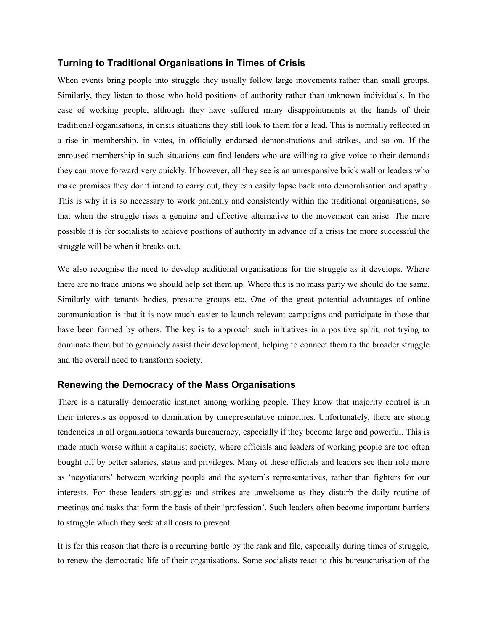# **Turning to Traditional Organisations in Times of Crisis**

When events bring people into struggle they usually follow large movements rather than small groups. Similarly, they listen to those who hold positions of authority rather than unknown individuals. In the case of working people, although they have suffered many disappointments at the hands of their traditional organisations, in crisis situations they still look to them for a lead. This is normally reflected in a rise in membership, in votes, in officially endorsed demonstrations and strikes, and so on. If the enroused membership in such situations can find leaders who are willing to give voice to their demands they can move forward very quickly. If however, all they see is an unresponsive brick wall or leaders who make promises they don't intend to carry out, they can easily lapse back into demoralisation and apathy. This is why it is so necessary to work patiently and consistently within the traditional organisations, so that when the struggle rises a genuine and effective alternative to the movement can arise. The more possible it is for socialists to achieve positions of authority in advance of a crisis the more successful the struggle will be when it breaks out.

We also recognise the need to develop additional organisations for the struggle as it develops. Where there are no trade unions we should help set them up. Where this is no mass party we should do the same. Similarly with tenants bodies, pressure groups etc. One of the great potential advantages of online communication is that it is now much easier to launch relevant campaigns and participate in those that have been formed by others. The key is to approach such initiatives in a positive spirit, not trying to dominate them but to genuinely assist their development, helping to connect them to the broader struggle and the overall need to transform society.

## **Renewing the Democracy of the Mass Organisations**

There is a naturally democratic instinct among working people. They know that majority control is in their interests as opposed to domination by unrepresentative minorities. Unfortunately, there are strong tendencies in all organisations towards bureaucracy, especially if they become large and powerful. This is made much worse within a capitalist society, where officials and leaders of working people are too often bought off by better salaries, status and privileges. Many of these officials and leaders see their role more as 'negotiators' between working people and the system's representatives, rather than fighters for our interests. For these leaders struggles and strikes are unwelcome as they disturb the daily routine of meetings and tasks that form the basis of their 'profession'. Such leaders often become important barriers to struggle which they seek at all costs to prevent.

It is for this reason that there is a recurring battle by the rank and file, especially during times of struggle, to renew the democratic life of their organisations. Some socialists react to this bureaucratisation of the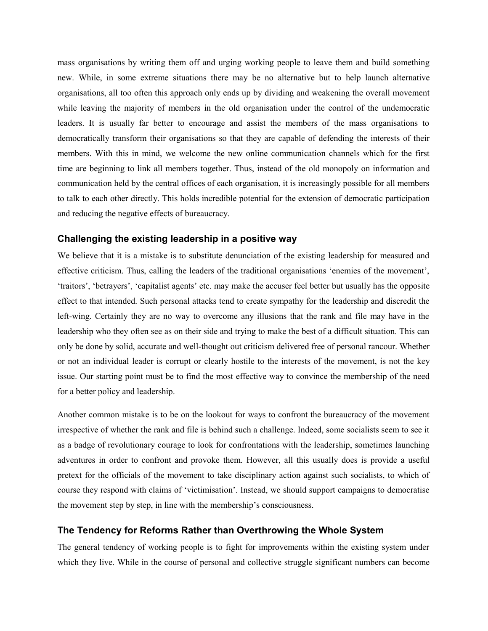mass organisations by writing them off and urging working people to leave them and build something new. While, in some extreme situations there may be no alternative but to help launch alternative organisations, all too often this approach only ends up by dividing and weakening the overall movement while leaving the majority of members in the old organisation under the control of the undemocratic leaders. It is usually far better to encourage and assist the members of the mass organisations to democratically transform their organisations so that they are capable of defending the interests of their members. With this in mind, we welcome the new online communication channels which for the first time are beginning to link all members together. Thus, instead of the old monopoly on information and communication held by the central offices of each organisation, it is increasingly possible for all members to talk to each other directly. This holds incredible potential for the extension of democratic participation and reducing the negative effects of bureaucracy.

## **Challenging the existing leadership in a positive way**

We believe that it is a mistake is to substitute denunciation of the existing leadership for measured and effective criticism. Thus, calling the leaders of the traditional organisations 'enemies of the movement', 'traitors', 'betrayers', 'capitalist agents' etc. may make the accuser feel better but usually has the opposite effect to that intended. Such personal attacks tend to create sympathy for the leadership and discredit the left-wing. Certainly they are no way to overcome any illusions that the rank and file may have in the leadership who they often see as on their side and trying to make the best of a difficult situation. This can only be done by solid, accurate and well-thought out criticism delivered free of personal rancour. Whether or not an individual leader is corrupt or clearly hostile to the interests of the movement, is not the key issue. Our starting point must be to find the most effective way to convince the membership of the need for a better policy and leadership.

Another common mistake is to be on the lookout for ways to confront the bureaucracy of the movement irrespective of whether the rank and file is behind such a challenge. Indeed, some socialists seem to see it as a badge of revolutionary courage to look for confrontations with the leadership, sometimes launching adventures in order to confront and provoke them. However, all this usually does is provide a useful pretext for the officials of the movement to take disciplinary action against such socialists, to which of course they respond with claims of 'victimisation'. Instead, we should support campaigns to democratise the movement step by step, in line with the membership's consciousness.

#### **The Tendency for Reforms Rather than Overthrowing the Whole System**

The general tendency of working people is to fight for improvements within the existing system under which they live. While in the course of personal and collective struggle significant numbers can become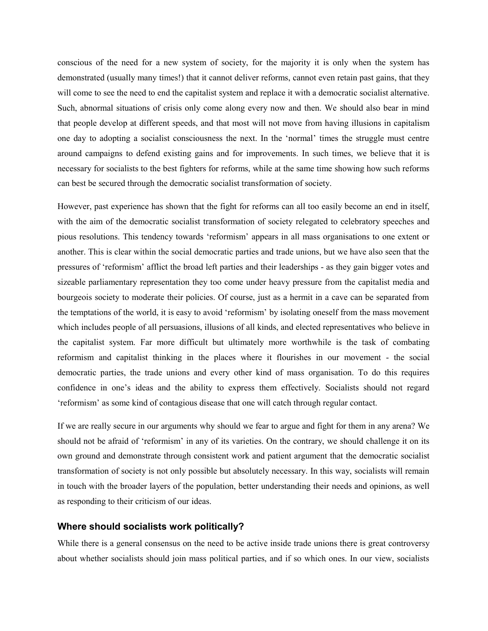conscious of the need for a new system of society, for the majority it is only when the system has demonstrated (usually many times!) that it cannot deliver reforms, cannot even retain past gains, that they will come to see the need to end the capitalist system and replace it with a democratic socialist alternative. Such, abnormal situations of crisis only come along every now and then. We should also bear in mind that people develop at different speeds, and that most will not move from having illusions in capitalism one day to adopting a socialist consciousness the next. In the 'normal' times the struggle must centre around campaigns to defend existing gains and for improvements. In such times, we believe that it is necessary for socialists to the best fighters for reforms, while at the same time showing how such reforms can best be secured through the democratic socialist transformation of society.

However, past experience has shown that the fight for reforms can all too easily become an end in itself, with the aim of the democratic socialist transformation of society relegated to celebratory speeches and pious resolutions. This tendency towards 'reformism' appears in all mass organisations to one extent or another. This is clear within the social democratic parties and trade unions, but we have also seen that the pressures of 'reformism' afflict the broad left parties and their leaderships - as they gain bigger votes and sizeable parliamentary representation they too come under heavy pressure from the capitalist media and bourgeois society to moderate their policies. Of course, just as a hermit in a cave can be separated from the temptations of the world, it is easy to avoid 'reformism' by isolating oneself from the mass movement which includes people of all persuasions, illusions of all kinds, and elected representatives who believe in the capitalist system. Far more difficult but ultimately more worthwhile is the task of combating reformism and capitalist thinking in the places where it flourishes in our movement - the social democratic parties, the trade unions and every other kind of mass organisation. To do this requires confidence in one's ideas and the ability to express them effectively. Socialists should not regard 'reformism' as some kind of contagious disease that one will catch through regular contact.

If we are really secure in our arguments why should we fear to argue and fight for them in any arena? We should not be afraid of 'reformism' in any of its varieties. On the contrary, we should challenge it on its own ground and demonstrate through consistent work and patient argument that the democratic socialist transformation of society is not only possible but absolutely necessary. In this way, socialists will remain in touch with the broader layers of the population, better understanding their needs and opinions, as well as responding to their criticism of our ideas.

### **Where should socialists work politically?**

While there is a general consensus on the need to be active inside trade unions there is great controversy about whether socialists should join mass political parties, and if so which ones. In our view, socialists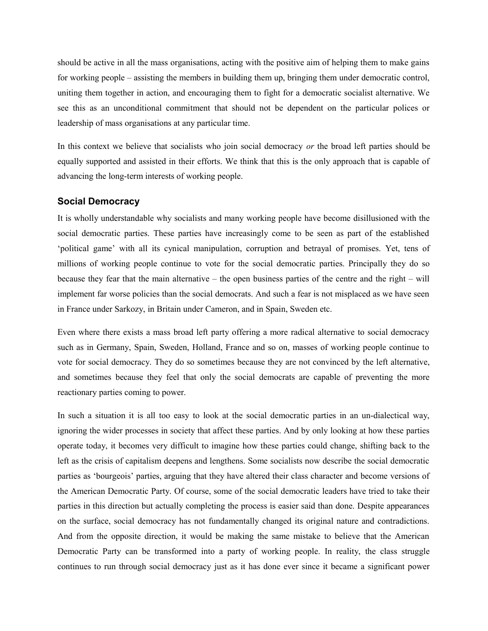should be active in all the mass organisations, acting with the positive aim of helping them to make gains for working people – assisting the members in building them up, bringing them under democratic control, uniting them together in action, and encouraging them to fight for a democratic socialist alternative. We see this as an unconditional commitment that should not be dependent on the particular polices or leadership of mass organisations at any particular time.

In this context we believe that socialists who join social democracy *or* the broad left parties should be equally supported and assisted in their efforts. We think that this is the only approach that is capable of advancing the long-term interests of working people.

#### **Social Democracy**

It is wholly understandable why socialists and many working people have become disillusioned with the social democratic parties. These parties have increasingly come to be seen as part of the established 'political game' with all its cynical manipulation, corruption and betrayal of promises. Yet, tens of millions of working people continue to vote for the social democratic parties. Principally they do so because they fear that the main alternative – the open business parties of the centre and the right – will implement far worse policies than the social democrats. And such a fear is not misplaced as we have seen in France under Sarkozy, in Britain under Cameron, and in Spain, Sweden etc.

Even where there exists a mass broad left party offering a more radical alternative to social democracy such as in Germany, Spain, Sweden, Holland, France and so on, masses of working people continue to vote for social democracy. They do so sometimes because they are not convinced by the left alternative, and sometimes because they feel that only the social democrats are capable of preventing the more reactionary parties coming to power.

In such a situation it is all too easy to look at the social democratic parties in an un-dialectical way, ignoring the wider processes in society that affect these parties. And by only looking at how these parties operate today, it becomes very difficult to imagine how these parties could change, shifting back to the left as the crisis of capitalism deepens and lengthens. Some socialists now describe the social democratic parties as 'bourgeois' parties, arguing that they have altered their class character and become versions of the American Democratic Party. Of course, some of the social democratic leaders have tried to take their parties in this direction but actually completing the process is easier said than done. Despite appearances on the surface, social democracy has not fundamentally changed its original nature and contradictions. And from the opposite direction, it would be making the same mistake to believe that the American Democratic Party can be transformed into a party of working people. In reality, the class struggle continues to run through social democracy just as it has done ever since it became a significant power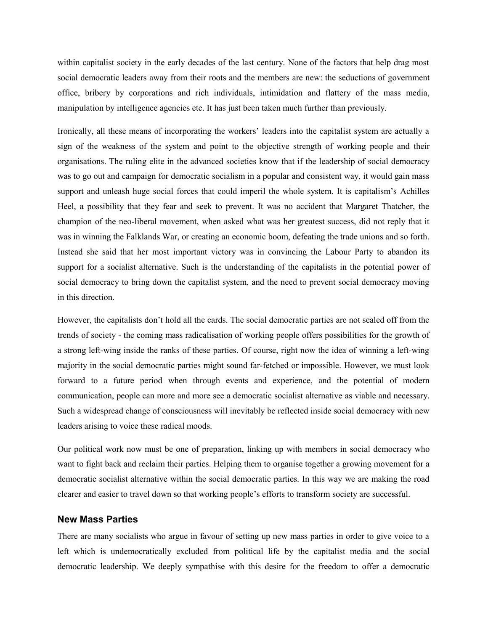within capitalist society in the early decades of the last century. None of the factors that help drag most social democratic leaders away from their roots and the members are new: the seductions of government office, bribery by corporations and rich individuals, intimidation and flattery of the mass media, manipulation by intelligence agencies etc. It has just been taken much further than previously.

Ironically, all these means of incorporating the workers' leaders into the capitalist system are actually a sign of the weakness of the system and point to the objective strength of working people and their organisations. The ruling elite in the advanced societies know that if the leadership of social democracy was to go out and campaign for democratic socialism in a popular and consistent way, it would gain mass support and unleash huge social forces that could imperil the whole system. It is capitalism's Achilles Heel, a possibility that they fear and seek to prevent. It was no accident that Margaret Thatcher, the champion of the neo-liberal movement, when asked what was her greatest success, did not reply that it was in winning the Falklands War, or creating an economic boom, defeating the trade unions and so forth. Instead she said that her most important victory was in convincing the Labour Party to abandon its support for a socialist alternative. Such is the understanding of the capitalists in the potential power of social democracy to bring down the capitalist system, and the need to prevent social democracy moving in this direction.

However, the capitalists don't hold all the cards. The social democratic parties are not sealed off from the trends of society - the coming mass radicalisation of working people offers possibilities for the growth of a strong left-wing inside the ranks of these parties. Of course, right now the idea of winning a left-wing majority in the social democratic parties might sound far-fetched or impossible. However, we must look forward to a future period when through events and experience, and the potential of modern communication, people can more and more see a democratic socialist alternative as viable and necessary. Such a widespread change of consciousness will inevitably be reflected inside social democracy with new leaders arising to voice these radical moods.

Our political work now must be one of preparation, linking up with members in social democracy who want to fight back and reclaim their parties. Helping them to organise together a growing movement for a democratic socialist alternative within the social democratic parties. In this way we are making the road clearer and easier to travel down so that working people's efforts to transform society are successful.

#### **New Mass Parties**

There are many socialists who argue in favour of setting up new mass parties in order to give voice to a left which is undemocratically excluded from political life by the capitalist media and the social democratic leadership. We deeply sympathise with this desire for the freedom to offer a democratic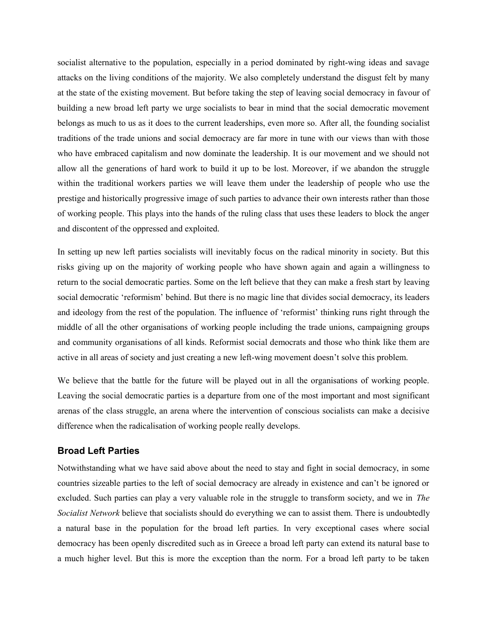socialist alternative to the population, especially in a period dominated by right-wing ideas and savage attacks on the living conditions of the majority. We also completely understand the disgust felt by many at the state of the existing movement. But before taking the step of leaving social democracy in favour of building a new broad left party we urge socialists to bear in mind that the social democratic movement belongs as much to us as it does to the current leaderships, even more so. After all, the founding socialist traditions of the trade unions and social democracy are far more in tune with our views than with those who have embraced capitalism and now dominate the leadership. It is our movement and we should not allow all the generations of hard work to build it up to be lost. Moreover, if we abandon the struggle within the traditional workers parties we will leave them under the leadership of people who use the prestige and historically progressive image of such parties to advance their own interests rather than those of working people. This plays into the hands of the ruling class that uses these leaders to block the anger and discontent of the oppressed and exploited.

In setting up new left parties socialists will inevitably focus on the radical minority in society. But this risks giving up on the majority of working people who have shown again and again a willingness to return to the social democratic parties. Some on the left believe that they can make a fresh start by leaving social democratic 'reformism' behind. But there is no magic line that divides social democracy, its leaders and ideology from the rest of the population. The influence of 'reformist' thinking runs right through the middle of all the other organisations of working people including the trade unions, campaigning groups and community organisations of all kinds. Reformist social democrats and those who think like them are active in all areas of society and just creating a new left-wing movement doesn't solve this problem.

We believe that the battle for the future will be played out in all the organisations of working people. Leaving the social democratic parties is a departure from one of the most important and most significant arenas of the class struggle, an arena where the intervention of conscious socialists can make a decisive difference when the radicalisation of working people really develops.

## **Broad Left Parties**

Notwithstanding what we have said above about the need to stay and fight in social democracy, in some countries sizeable parties to the left of social democracy are already in existence and can't be ignored or excluded. Such parties can play a very valuable role in the struggle to transform society, and we in *The Socialist Network* believe that socialists should do everything we can to assist them. There is undoubtedly a natural base in the population for the broad left parties. In very exceptional cases where social democracy has been openly discredited such as in Greece a broad left party can extend its natural base to a much higher level. But this is more the exception than the norm. For a broad left party to be taken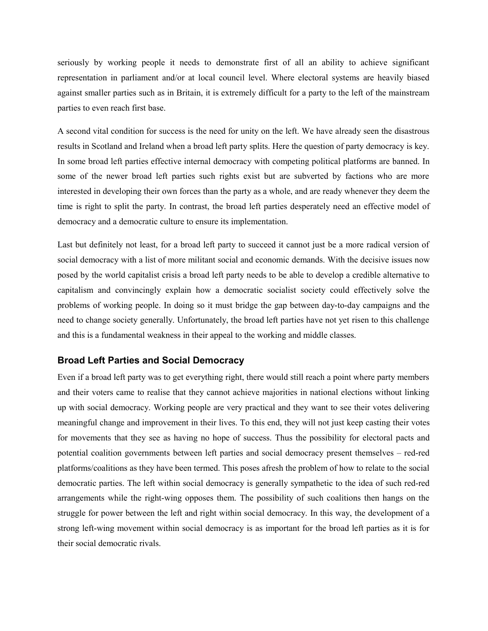seriously by working people it needs to demonstrate first of all an ability to achieve significant representation in parliament and/or at local council level. Where electoral systems are heavily biased against smaller parties such as in Britain, it is extremely difficult for a party to the left of the mainstream parties to even reach first base.

A second vital condition for success is the need for unity on the left. We have already seen the disastrous results in Scotland and Ireland when a broad left party splits. Here the question of party democracy is key. In some broad left parties effective internal democracy with competing political platforms are banned. In some of the newer broad left parties such rights exist but are subverted by factions who are more interested in developing their own forces than the party as a whole, and are ready whenever they deem the time is right to split the party. In contrast, the broad left parties desperately need an effective model of democracy and a democratic culture to ensure its implementation.

Last but definitely not least, for a broad left party to succeed it cannot just be a more radical version of social democracy with a list of more militant social and economic demands. With the decisive issues now posed by the world capitalist crisis a broad left party needs to be able to develop a credible alternative to capitalism and convincingly explain how a democratic socialist society could effectively solve the problems of working people. In doing so it must bridge the gap between day-to-day campaigns and the need to change society generally. Unfortunately, the broad left parties have not yet risen to this challenge and this is a fundamental weakness in their appeal to the working and middle classes.

## **Broad Left Parties and Social Democracy**

Even if a broad left party was to get everything right, there would still reach a point where party members and their voters came to realise that they cannot achieve majorities in national elections without linking up with social democracy. Working people are very practical and they want to see their votes delivering meaningful change and improvement in their lives. To this end, they will not just keep casting their votes for movements that they see as having no hope of success. Thus the possibility for electoral pacts and potential coalition governments between left parties and social democracy present themselves – red-red platforms/coalitions as they have been termed. This poses afresh the problem of how to relate to the social democratic parties. The left within social democracy is generally sympathetic to the idea of such red-red arrangements while the right-wing opposes them. The possibility of such coalitions then hangs on the struggle for power between the left and right within social democracy. In this way, the development of a strong left-wing movement within social democracy is as important for the broad left parties as it is for their social democratic rivals.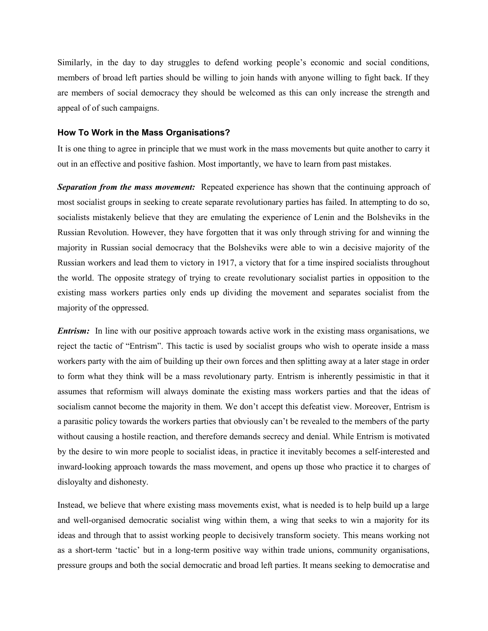Similarly, in the day to day struggles to defend working people's economic and social conditions, members of broad left parties should be willing to join hands with anyone willing to fight back. If they are members of social democracy they should be welcomed as this can only increase the strength and appeal of of such campaigns.

#### **How To Work in the Mass Organisations?**

It is one thing to agree in principle that we must work in the mass movements but quite another to carry it out in an effective and positive fashion. Most importantly, we have to learn from past mistakes.

*Separation from the mass movement:* Repeated experience has shown that the continuing approach of most socialist groups in seeking to create separate revolutionary parties has failed. In attempting to do so, socialists mistakenly believe that they are emulating the experience of Lenin and the Bolsheviks in the Russian Revolution. However, they have forgotten that it was only through striving for and winning the majority in Russian social democracy that the Bolsheviks were able to win a decisive majority of the Russian workers and lead them to victory in 1917, a victory that for a time inspired socialists throughout the world. The opposite strategy of trying to create revolutionary socialist parties in opposition to the existing mass workers parties only ends up dividing the movement and separates socialist from the majority of the oppressed.

*Entrism:* In line with our positive approach towards active work in the existing mass organisations, we reject the tactic of "Entrism". This tactic is used by socialist groups who wish to operate inside a mass workers party with the aim of building up their own forces and then splitting away at a later stage in order to form what they think will be a mass revolutionary party. Entrism is inherently pessimistic in that it assumes that reformism will always dominate the existing mass workers parties and that the ideas of socialism cannot become the majority in them. We don't accept this defeatist view. Moreover, Entrism is a parasitic policy towards the workers parties that obviously can't be revealed to the members of the party without causing a hostile reaction, and therefore demands secrecy and denial. While Entrism is motivated by the desire to win more people to socialist ideas, in practice it inevitably becomes a self-interested and inward-looking approach towards the mass movement, and opens up those who practice it to charges of disloyalty and dishonesty.

Instead, we believe that where existing mass movements exist, what is needed is to help build up a large and well-organised democratic socialist wing within them, a wing that seeks to win a majority for its ideas and through that to assist working people to decisively transform society. This means working not as a short-term 'tactic' but in a long-term positive way within trade unions, community organisations, pressure groups and both the social democratic and broad left parties. It means seeking to democratise and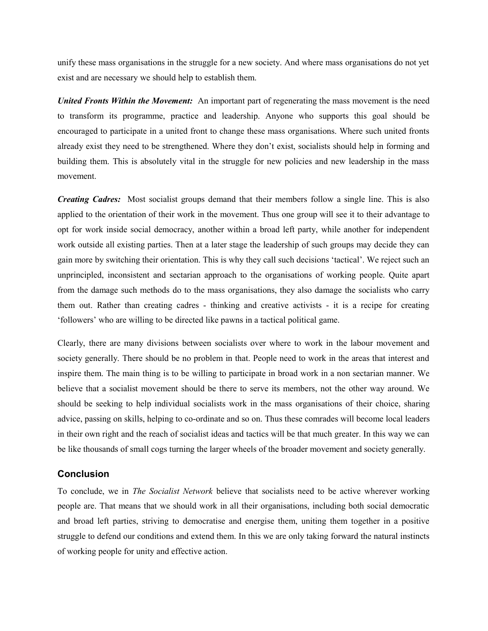unify these mass organisations in the struggle for a new society. And where mass organisations do not yet exist and are necessary we should help to establish them.

*United Fronts Within the Movement:* An important part of regenerating the mass movement is the need to transform its programme, practice and leadership. Anyone who supports this goal should be encouraged to participate in a united front to change these mass organisations. Where such united fronts already exist they need to be strengthened. Where they don't exist, socialists should help in forming and building them. This is absolutely vital in the struggle for new policies and new leadership in the mass movement.

*Creating Cadres:* Most socialist groups demand that their members follow a single line. This is also applied to the orientation of their work in the movement. Thus one group will see it to their advantage to opt for work inside social democracy, another within a broad left party, while another for independent work outside all existing parties. Then at a later stage the leadership of such groups may decide they can gain more by switching their orientation. This is why they call such decisions 'tactical'. We reject such an unprincipled, inconsistent and sectarian approach to the organisations of working people. Quite apart from the damage such methods do to the mass organisations, they also damage the socialists who carry them out. Rather than creating cadres - thinking and creative activists - it is a recipe for creating 'followers' who are willing to be directed like pawns in a tactical political game.

Clearly, there are many divisions between socialists over where to work in the labour movement and society generally. There should be no problem in that. People need to work in the areas that interest and inspire them. The main thing is to be willing to participate in broad work in a non sectarian manner. We believe that a socialist movement should be there to serve its members, not the other way around. We should be seeking to help individual socialists work in the mass organisations of their choice, sharing advice, passing on skills, helping to co-ordinate and so on. Thus these comrades will become local leaders in their own right and the reach of socialist ideas and tactics will be that much greater. In this way we can be like thousands of small cogs turning the larger wheels of the broader movement and society generally.

## **Conclusion**

To conclude, we in *The Socialist Network* believe that socialists need to be active wherever working people are. That means that we should work in all their organisations, including both social democratic and broad left parties, striving to democratise and energise them, uniting them together in a positive struggle to defend our conditions and extend them. In this we are only taking forward the natural instincts of working people for unity and effective action.